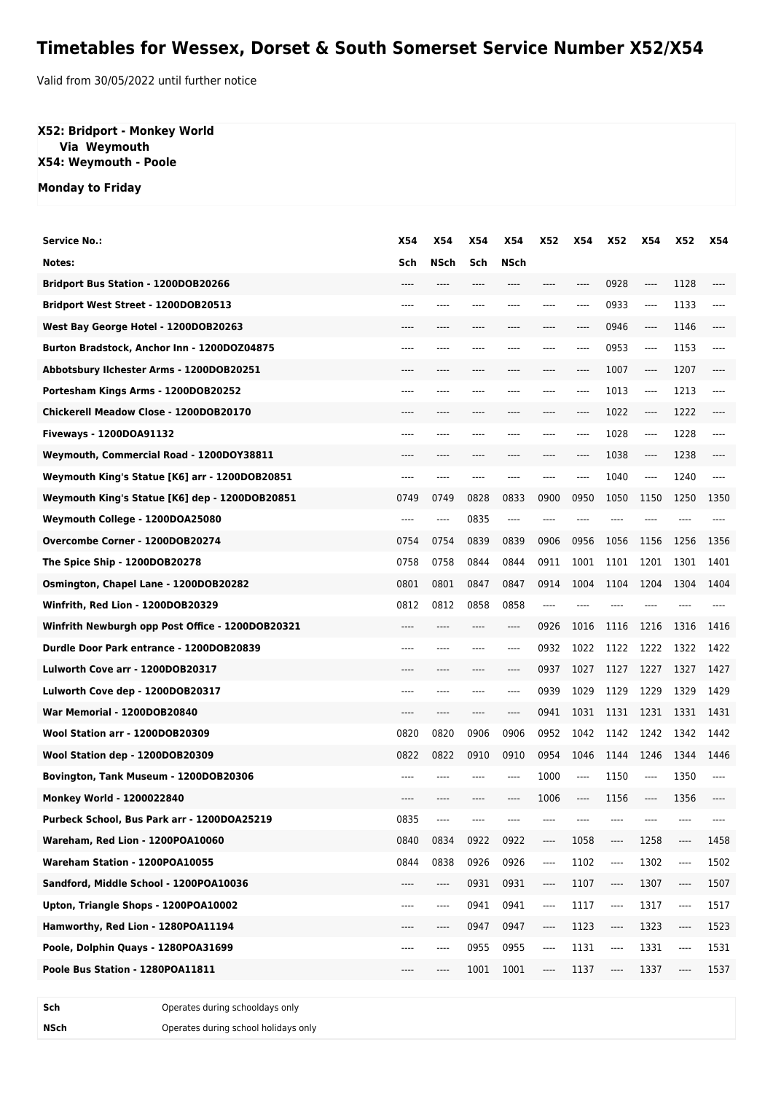## **Timetables for Wessex, Dorset & South Somerset Service Number X52/X54**

Valid from 30/05/2022 until further notice

## **X52: Bridport - Monkey World Via Weymouth X54: Weymouth - Poole**

**Monday to Friday**

| <b>Service No.:</b>                              | <b>X54</b> | X54     | X54  | <b>X54</b> | <b>X52</b> | <b>X54</b> | <b>X52</b>                    | <b>X54</b> | X52                           | X54     |
|--------------------------------------------------|------------|---------|------|------------|------------|------------|-------------------------------|------------|-------------------------------|---------|
| Notes:                                           | Sch        | NSch    | Sch  | NSch       |            |            |                               |            |                               |         |
| <b>Bridport Bus Station - 1200DOB20266</b>       |            |         |      |            |            | ----       | 0928                          | ----       | 1128                          |         |
| Bridport West Street - 1200DOB20513              |            |         |      | ----       | ----       | ----       | 0933                          | ----       | 1133                          | ----    |
| West Bay George Hotel - 1200DOB20263             |            |         | ---- | ----       |            | ----       | 0946                          | ----       | 1146                          |         |
| Burton Bradstock, Anchor Inn - 1200DOZ04875      | ----       |         |      |            |            | ----       | 0953                          | ----       | 1153                          | $-----$ |
| Abbotsbury Ilchester Arms - 1200DOB20251         |            |         |      |            |            |            | 1007                          | ----       | 1207                          |         |
| Portesham Kings Arms - 1200DOB20252              | ----       |         |      |            |            | ----       | 1013                          | ----       | 1213                          | ----    |
| Chickerell Meadow Close - 1200DOB20170           |            |         | ---- | ----       |            | ----       | 1022                          | ----       | 1222                          |         |
| Fiveways - 1200DOA91132                          | ----       |         |      |            |            | ----       | 1028                          | ----       | 1228                          | ----    |
| Weymouth, Commercial Road - 1200DOY38811         |            |         |      |            |            | ----       | 1038                          | ----       | 1238                          |         |
| Weymouth King's Statue [K6] arr - 1200DOB20851   | ----       | ----    | ---- | ----       | ----       | ----       | 1040                          | ----       | 1240                          | $---$   |
| Weymouth King's Statue [K6] dep - 1200DOB20851   | 0749       | 0749    | 0828 | 0833       | 0900       | 0950       | 1050                          | 1150       | 1250                          | 1350    |
| Weymouth College - 1200DOA25080                  | ----       | $---$   | 0835 | $-----$    | ----       | ----       | ----                          | ----       |                               |         |
| Overcombe Corner - 1200DOB20274                  | 0754       | 0754    | 0839 | 0839       | 0906       | 0956       | 1056                          | 1156       | 1256                          | 1356    |
| The Spice Ship - 1200DOB20278                    | 0758       | 0758    | 0844 | 0844       | 0911       | 1001       | 1101                          | 1201       | 1301                          | 1401    |
| Osmington, Chapel Lane - 1200DOB20282            | 0801       | 0801    | 0847 | 0847       | 0914       | 1004       | 1104                          | 1204       | 1304                          | 1404    |
| Winfrith, Red Lion - 1200DOB20329                | 0812       | 0812    | 0858 | 0858       |            |            |                               |            |                               |         |
| Winfrith Newburgh opp Post Office - 1200DOB20321 |            |         |      | ----       | 0926       | 1016       | 1116                          | 1216       | 1316                          | 1416    |
| Durdle Door Park entrance - 1200DOB20839         | ----       |         | ---- | ----       | 0932       | 1022       | 1122                          | 1222       | 1322                          | 1422    |
| Lulworth Cove arr - 1200DOB20317                 |            |         |      | ----       | 0937       | 1027       | 1127                          | 1227       | 1327                          | 1427    |
| Lulworth Cove dep - 1200DOB20317                 | ----       |         |      | ----       | 0939       | 1029       | 1129                          | 1229       | 1329                          | 1429    |
| War Memorial - 1200DOB20840                      |            |         |      | ----       | 0941       | 1031       | 1131                          | 1231       | 1331                          | 1431    |
| Wool Station arr - 1200DOB20309                  | 0820       | 0820    | 0906 | 0906       | 0952       | 1042       | 1142                          | 1242       | 1342                          | 1442    |
| Wool Station dep - 1200DOB20309                  | 0822       | 0822    | 0910 | 0910       | 0954       | 1046       | 1144                          | 1246       | 1344                          | 1446    |
| Bovington, Tank Museum - 1200DOB20306            |            |         |      | ----       | 1000       | ----       | 1150                          | ----       | 1350                          | ----    |
| <b>Monkey World - 1200022840</b>                 |            |         |      |            | 1006       | ----       | 1156                          | ----       | 1356                          |         |
| Purbeck School, Bus Park arr - 1200DOA25219      | 0835       |         |      |            |            |            |                               |            |                               |         |
| Wareham, Red Lion - 1200POA10060                 | 0840       | 0834    | 0922 | 0922       | ----       | 1058       | ----                          | 1258       | ----                          | 1458    |
| Wareham Station - 1200POA10055                   | 0844       | 0838    | 0926 | 0926       | ----       | 1102       | ----                          | 1302       | ----                          | 1502    |
| Sandford, Middle School - 1200POA10036           |            | ----    | 0931 | 0931       | ----       | 1107       | ----                          | 1307       | ----                          | 1507    |
| Upton, Triangle Shops - 1200POA10002             | ----       | $-----$ | 0941 | 0941       | ----       | 1117       | ----                          | 1317       | ----                          | 1517    |
| Hamworthy, Red Lion - 1280POA11194               | ----       | ----    | 0947 | 0947       | ----       | 1123       | $\hspace{1.5cm} \textbf{---}$ | 1323       | $\hspace{1.5cm} \textbf{---}$ | 1523    |
| Poole, Dolphin Quays - 1280POA31699              | ----       | ----    | 0955 | 0955       | ----       | 1131       | ----                          | 1331       | ----                          | 1531    |
| Poole Bus Station - 1280POA11811                 | ----       | ----    | 1001 | 1001       | ----       | 1137       | ----                          | 1337       | ----                          | 1537    |

**Sch** Operates during schooldays only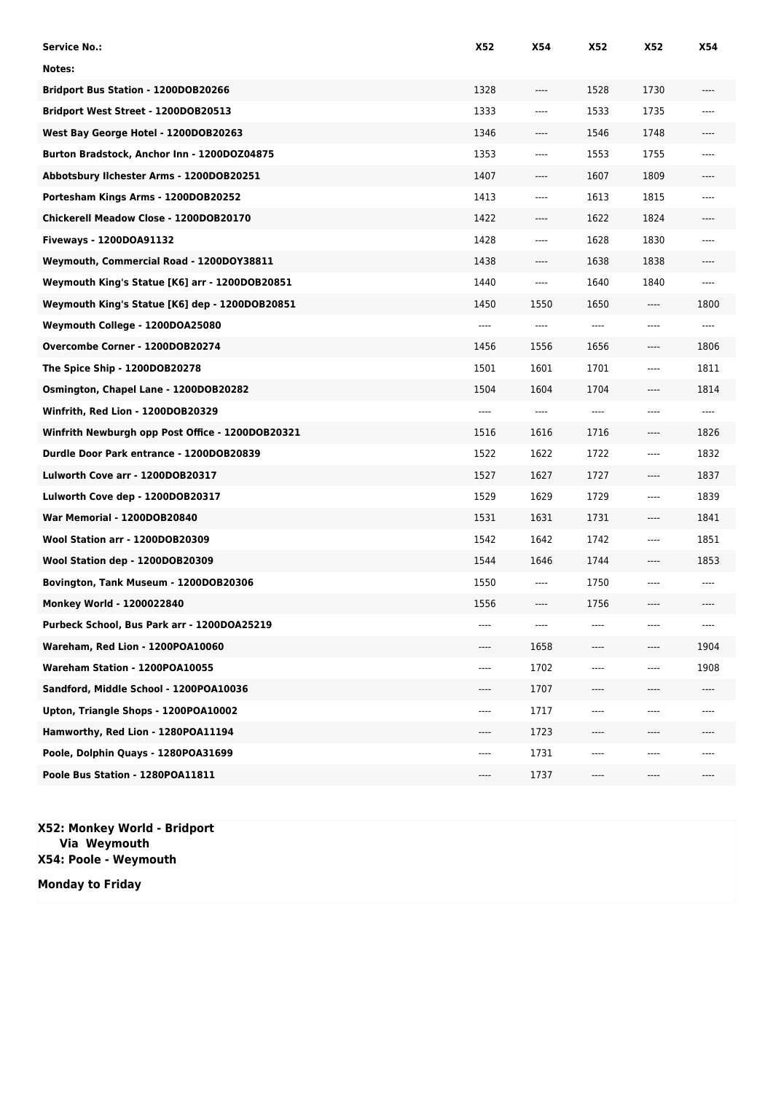| Service No.:                                     | X52  | <b>X54</b> | X52                           | X52                           | X54  |
|--------------------------------------------------|------|------------|-------------------------------|-------------------------------|------|
| Notes:                                           |      |            |                               |                               |      |
| <b>Bridport Bus Station - 1200DOB20266</b>       | 1328 | $---$      | 1528                          | 1730                          | ---- |
| Bridport West Street - 1200DOB20513              | 1333 | ----       | 1533                          | 1735                          |      |
| West Bay George Hotel - 1200DOB20263             | 1346 | $---$      | 1546                          | 1748                          |      |
| Burton Bradstock, Anchor Inn - 1200DOZ04875      | 1353 | $---$      | 1553                          | 1755                          | ---- |
| Abbotsbury Ilchester Arms - 1200DOB20251         | 1407 | ----       | 1607                          | 1809                          | ---- |
| Portesham Kings Arms - 1200DOB20252              | 1413 | $-- -$     | 1613                          | 1815                          | ---- |
| Chickerell Meadow Close - 1200DOB20170           | 1422 | ----       | 1622                          | 1824                          | ---- |
| Fiveways - 1200DOA91132                          | 1428 | $---$      | 1628                          | 1830                          | ---- |
| Weymouth, Commercial Road - 1200DOY38811         | 1438 | $---$      | 1638                          | 1838                          | ---- |
| Weymouth King's Statue [K6] arr - 1200DOB20851   | 1440 | ----       | 1640                          | 1840                          | ---- |
| Weymouth King's Statue [K6] dep - 1200DOB20851   | 1450 | 1550       | 1650                          | $\hspace{1.5cm} \textbf{---}$ | 1800 |
| Weymouth College - 1200DOA25080                  | ---- | $---$      | $-----$                       | $---$                         | ---- |
| Overcombe Corner - 1200DOB20274                  | 1456 | 1556       | 1656                          | $---$                         | 1806 |
| The Spice Ship - 1200DOB20278                    | 1501 | 1601       | 1701                          | ----                          | 1811 |
| Osmington, Chapel Lane - 1200DOB20282            | 1504 | 1604       | 1704                          | ----                          | 1814 |
| Winfrith, Red Lion - 1200DOB20329                | ---- | $---$      | $-----$                       | ----                          | ---- |
| Winfrith Newburgh opp Post Office - 1200DOB20321 | 1516 | 1616       | 1716                          | $---$                         | 1826 |
| Durdle Door Park entrance - 1200DOB20839         | 1522 | 1622       | 1722                          | ----                          | 1832 |
| Lulworth Cove arr - 1200DOB20317                 | 1527 | 1627       | 1727                          | $---$                         | 1837 |
| Lulworth Cove dep - 1200DOB20317                 | 1529 | 1629       | 1729                          | $---$                         | 1839 |
| War Memorial - 1200DOB20840                      | 1531 | 1631       | 1731                          | $---$                         | 1841 |
| Wool Station arr - 1200DOB20309                  | 1542 | 1642       | 1742                          | ----                          | 1851 |
| Wool Station dep - 1200DOB20309                  | 1544 | 1646       | 1744                          | $---$                         | 1853 |
| Bovington, Tank Museum - 1200DOB20306            | 1550 | ----       | 1750                          | ----                          | ---- |
| Monkey World - 1200022840                        | 1556 | ----       | 1756                          | ----                          | ---- |
| Purbeck School, Bus Park arr - 1200DOA25219      |      |            |                               |                               | ---- |
| Wareham, Red Lion - 1200POA10060                 |      | 1658       |                               | ----                          | 1904 |
| Wareham Station - 1200POA10055                   | ---- | 1702       | ----                          | ----                          | 1908 |
| Sandford, Middle School - 1200POA10036           | ---- | 1707       | $-----$                       | ----                          | ---- |
| Upton, Triangle Shops - 1200POA10002             | ---- | 1717       |                               |                               |      |
| Hamworthy, Red Lion - 1280POA11194               | ---- | 1723       | ----                          | ----                          |      |
| Poole, Dolphin Quays - 1280POA31699              | ---- | 1731       |                               |                               |      |
| Poole Bus Station - 1280POA11811                 | ---- | 1737       | $\hspace{1.5cm} \textbf{---}$ | ----                          | ---- |

**X52: Monkey World - Bridport Via Weymouth X54: Poole - Weymouth**

**Monday to Friday**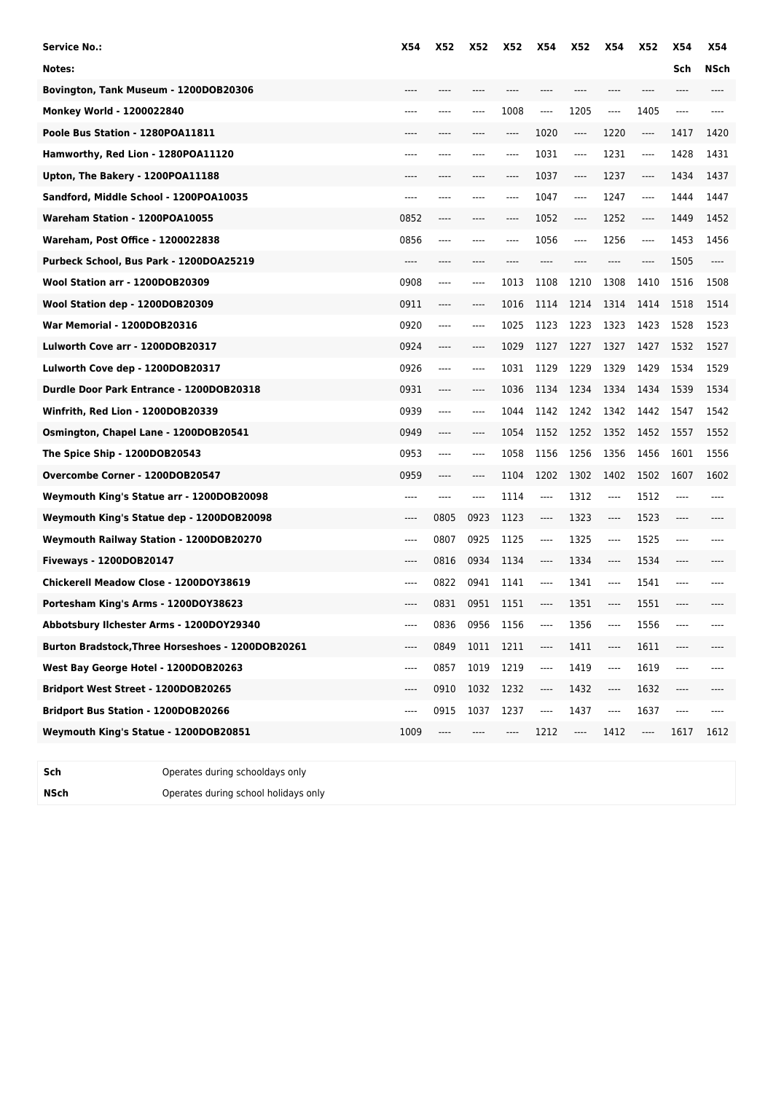| <b>Service No.:</b>                              | <b>X54</b> | X52     | <b>X52</b> | <b>X52</b> | X54                           | <b>X52</b> | <b>X54</b> | <b>X52</b>                    | X54  | <b>X54</b>  |
|--------------------------------------------------|------------|---------|------------|------------|-------------------------------|------------|------------|-------------------------------|------|-------------|
| Notes:                                           |            |         |            |            |                               |            |            |                               | Sch  | <b>NSch</b> |
| Bovington, Tank Museum - 1200DOB20306            |            |         |            |            |                               |            |            |                               |      |             |
| Monkey World - 1200022840                        | ----       |         | ----       | 1008       | ----                          | 1205       | ----       | 1405                          | ---- |             |
| Poole Bus Station - 1280POA11811                 | ----       |         |            | $---$      | 1020                          | ----       | 1220       | ----                          | 1417 | 1420        |
| Hamworthy, Red Lion - 1280POA11120               | ----       |         |            | ----       | 1031                          | $---$      | 1231       | ----                          | 1428 | 1431        |
| Upton, The Bakery - 1200POA11188                 |            |         |            |            | 1037                          | ----       | 1237       | $\cdots$                      | 1434 | 1437        |
| Sandford, Middle School - 1200POA10035           | ----       |         |            | ----       | 1047                          | ----       | 1247       | $\cdots$                      | 1444 | 1447        |
| Wareham Station - 1200POA10055                   | 0852       | $---$   | ----       | ----       | 1052                          | ----       | 1252       | $\hspace{1.5cm} \textbf{---}$ | 1449 | 1452        |
| Wareham, Post Office - 1200022838                | 0856       | $---$   |            | ----       | 1056                          | ----       | 1256       | ----                          | 1453 | 1456        |
| Purbeck School, Bus Park - 1200DOA25219          | ----       |         |            |            | ----                          | ----       |            |                               | 1505 | ----        |
| Wool Station arr - 1200DOB20309                  | 0908       | $-----$ | ----       | 1013       | 1108                          | 1210       | 1308       | 1410                          | 1516 | 1508        |
| Wool Station dep - 1200DOB20309                  | 0911       | $---$   | ----       | 1016       | 1114                          | 1214       | 1314       | 1414                          | 1518 | 1514        |
| War Memorial - 1200DOB20316                      | 0920       | $---$   | ----       | 1025       | 1123                          | 1223       | 1323       | 1423                          | 1528 | 1523        |
| Lulworth Cove arr - 1200DOB20317                 | 0924       | $-----$ | ----       | 1029       | 1127                          | 1227       | 1327       | 1427                          | 1532 | 1527        |
| Lulworth Cove dep - 1200DOB20317                 | 0926       | $-----$ | ----       | 1031       | 1129                          | 1229       | 1329       | 1429                          | 1534 | 1529        |
| Durdle Door Park Entrance - 1200DOB20318         | 0931       | ----    | ----       | 1036       | 1134                          | 1234       | 1334       | 1434                          | 1539 | 1534        |
| Winfrith, Red Lion - 1200DOB20339                | 0939       | ----    | ----       | 1044       | 1142                          | 1242       | 1342       | 1442                          | 1547 | 1542        |
| Osmington, Chapel Lane - 1200DOB20541            | 0949       | $---$   | ----       | 1054       | 1152                          | 1252       | 1352       | 1452                          | 1557 | 1552        |
| The Spice Ship - 1200DOB20543                    | 0953       | $-----$ | ----       | 1058       | 1156                          | 1256       | 1356       | 1456                          | 1601 | 1556        |
| Overcombe Corner - 1200DOB20547                  | 0959       | $---$   | ----       | 1104       | 1202                          | 1302       | 1402       | 1502                          | 1607 | 1602        |
| Weymouth King's Statue arr - 1200DOB20098        | ----       | $---$   | ----       | 1114       | $---$                         | 1312       | $---$      | 1512                          | ---- |             |
| Weymouth King's Statue dep - 1200DOB20098        | ----       | 0805    | 0923       | 1123       | ----                          | 1323       | ----       | 1523                          |      |             |
| Weymouth Railway Station - 1200DOB20270          | $---$      | 0807    | 0925       | 1125       | $\hspace{1.5cm} \textbf{---}$ | 1325       | $---$      | 1525                          | ---- |             |
| <b>Fiveways - 1200DOB20147</b>                   | ----       | 0816    | 0934       | 1134       | $---$                         | 1334       | $---$      | 1534                          | ---- |             |
| Chickerell Meadow Close - 1200DOY38619           | ----       | 0822    | 0941       | 1141       | $---$                         | 1341       | $---$      | 1541                          | ---- |             |
| Portesham King's Arms - 1200DOY38623             |            | 0831    | 0951       | 1151       | $-----$                       | 1351       | ----       | 1551                          |      |             |
| Abbotsbury Ilchester Arms - 1200DOY29340         |            | 0836    | 0956       | 1156       | ----                          | 1356       |            | 1556                          |      |             |
| Burton Bradstock,Three Horseshoes - 1200DOB20261 | ----       | 0849    | 1011       | 1211       | ----                          | 1411       | ----       | 1611                          |      |             |
| West Bay George Hotel - 1200DOB20263             | ----       | 0857    | 1019       | 1219       | ----                          | 1419       | ----       | 1619                          |      |             |
| Bridport West Street - 1200DOB20265              | ----       | 0910    | 1032       | 1232       | ----                          | 1432       | ----       | 1632                          |      |             |
| Bridport Bus Station - 1200DOB20266              | ----       | 0915    | 1037       | 1237       | ----                          | 1437       | ----       | 1637                          |      |             |
| Weymouth King's Statue - 1200DOB20851            | 1009       | ----    |            | ----       | 1212                          | ----       | 1412       | ----                          | 1617 | 1612        |
|                                                  |            |         |            |            |                               |            |            |                               |      |             |
|                                                  |            |         |            |            |                               |            |            |                               |      |             |

**Sch** Operates during schooldays only

**NSch** Operates during school holidays only